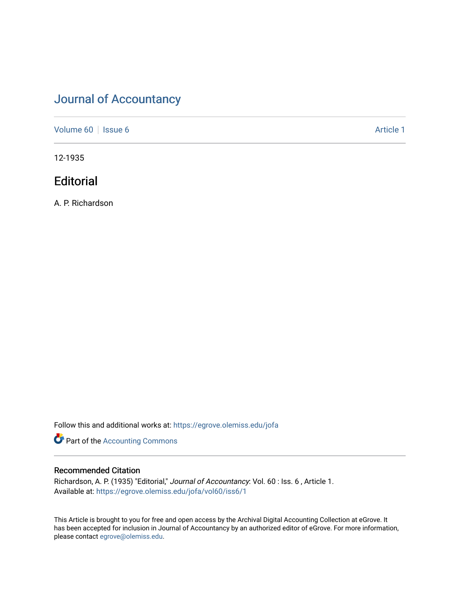# [Journal of Accountancy](https://egrove.olemiss.edu/jofa)

[Volume 60](https://egrove.olemiss.edu/jofa/vol60) | [Issue 6](https://egrove.olemiss.edu/jofa/vol60/iss6) Article 1

12-1935

# **Editorial**

A. P. Richardson

Follow this and additional works at: [https://egrove.olemiss.edu/jofa](https://egrove.olemiss.edu/jofa?utm_source=egrove.olemiss.edu%2Fjofa%2Fvol60%2Fiss6%2F1&utm_medium=PDF&utm_campaign=PDFCoverPages) 

**Part of the [Accounting Commons](http://network.bepress.com/hgg/discipline/625?utm_source=egrove.olemiss.edu%2Fjofa%2Fvol60%2Fiss6%2F1&utm_medium=PDF&utm_campaign=PDFCoverPages)** 

# Recommended Citation

Richardson, A. P. (1935) "Editorial," Journal of Accountancy: Vol. 60 : Iss. 6 , Article 1. Available at: [https://egrove.olemiss.edu/jofa/vol60/iss6/1](https://egrove.olemiss.edu/jofa/vol60/iss6/1?utm_source=egrove.olemiss.edu%2Fjofa%2Fvol60%2Fiss6%2F1&utm_medium=PDF&utm_campaign=PDFCoverPages) 

This Article is brought to you for free and open access by the Archival Digital Accounting Collection at eGrove. It has been accepted for inclusion in Journal of Accountancy by an authorized editor of eGrove. For more information, please contact [egrove@olemiss.edu.](mailto:egrove@olemiss.edu)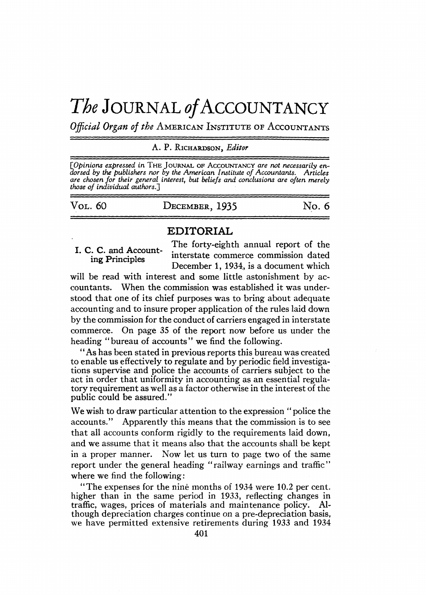# The JOURNAL of ACCOUNTANCY

*Official Organ of the* American Institute of Accountants

## A. P. Richardson, *Editor*

[Opinions expressed in THE JOURNAL OF ACCOUNTANCY are not necessarily en-<br>dorsed by the publishers nor by the American Institute of Accountants. Articles *are chosen for their general interest, but beliefs and conclusions are often merely those of individual authors.]*

| VOL. 60 | DECEMBER, 1935 | No. 6 |
|---------|----------------|-------|
|         |                |       |

# **EDITORIAL**

I. C. C. and Accounting Principles

The forty-eighth annual report of the interstate commerce commission dated December 1, 1934, is a document which

will be read with interest and some little astonishment by accountants. When the commission was established it was understood that one of its chief purposes was to bring about adequate accounting and to insure proper application of the rules laid down by the commission for the conduct of carriers engaged in interstate commerce. On page 35 of the report now before us under the heading "bureau of accounts" we find the following.

"As has been stated in previous reports this bureau was created to enable us effectively to regulate and by periodic field investigations supervise and police the accounts of carriers subject to the act in order that uniformity in accounting as an essential regulatory requirement as well as a factor otherwise in the interest of the public could be assured."

We wish to draw particular attention to the expression " police the accounts." Apparently this means that the commission is to see that all accounts conform rigidly to the requirements laid down, and we assume that it means also that the accounts shall be kept in a proper manner. Now let us turn to page two of the same report under the general heading "railway earnings and traffic" where we find the following:

"The expenses for the nine months of 1934 were 10.2 per cent. higher than in the same period in 1933, reflecting changes in traffic, wages, prices of materials and maintenance policy. Altraffic, wages, prices of materials and maintenance policy. though depreciation charges continue on a pre-depreciation basis, we have permitted extensive retirements during 1933 and 1934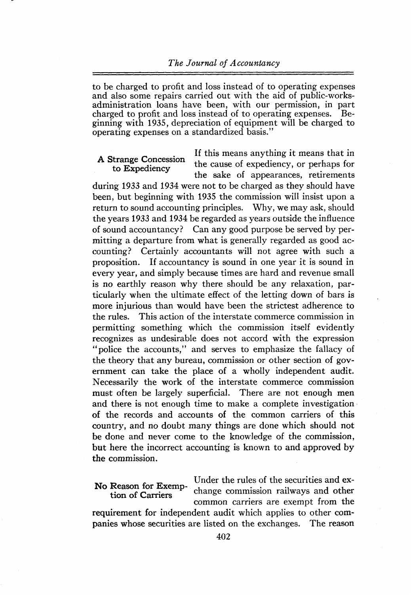to be charged to profit and loss instead of to operating expenses and also some repairs carried out with the aid of public-worksadministration loans have been, with our permission, in part charged to profit and loss instead of to operating expenses. Beginning with 1935, depreciation of equipment will be charged to operating expenses on a standardized basis."

### A Strange Concession to Expediency

If this means anything it means that in the cause of expediency, or perhaps for the sake of appearances, retirements

during 1933 and 1934 were not to be charged as they should have been, but beginning with 1935 the commission will insist upon a return to sound accounting principles. Why, we may ask, should the years 1933 and 1934 be regarded as years outside the influence of sound accountancy? Can any good purpose be served by permitting a departure from what is generally regarded as good accounting? Certainly accountants will not agree with such a proposition. If accountancy is sound in one year it is sound in every year, and simply because times are hard and revenue small is no earthly reason why there should be any relaxation, particularly when the ultimate effect of the letting down of bars is more injurious than would have been the strictest adherence to the rules. This action of the interstate commerce commission in permitting something which the commission itself evidently recognizes as undesirable does not accord with the expression "police the accounts," and serves to emphasize the fallacy of the theory that any bureau, commission or other section of government can take the place of a wholly independent audit. Necessarily the work of the interstate commerce commission must often be largely superficial. There are not enough men and there is not enough time to make a complete investigation of the records and accounts of the common carriers of this country, and no doubt many things are done which should not be done and never come to the knowledge of the commission, but here the incorrect accounting is known to and approved by the commission.

Under the rules of the securities and exchange commission railways and other common carriers are exempt from the requirement for independent audit which applies to other companies whose securities are listed on the exchanges. The reason No Reason for Exemption of Carriers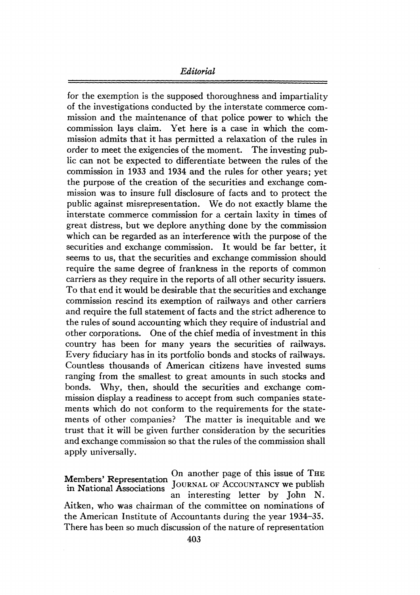# *Editorial*

for the exemption is the supposed thoroughness and impartiality of the investigations conducted by the interstate commerce commission and the maintenance of that police power to which the commission lays claim. Yet here is a case in which the commission admits that it has permitted a relaxation of the rules in order to meet the exigencies of the moment. The investing public can not be expected to differentiate between the rules of the commission in 1933 and 1934 and the rules for other years; yet the purpose of the creation of the securities and exchange commission was to insure full disclosure of facts and to protect the public against misrepresentation. We do not exactly blame the interstate commerce commission for a certain laxity in times of great distress, but we deplore anything done by the commission which can be regarded as an interference with the purpose of the securities and exchange commission. It would be far better, it seems to us, that the securities and exchange commission should require the same degree of frankness in the reports of common carriers as they require in the reports of all other security issuers. To that end it would be desirable that the securities and exchange commission rescind its exemption of railways and other carriers and require the full statement of facts and the strict adherence to the rules of sound accounting which they require of industrial and other corporations. One of the chief media of investment in this country has been for many years the securities of railways. Every fiduciary has in its portfolio bonds and stocks of railways. Countless thousands of American citizens have invested sums ranging from the smallest to great amounts in such stocks and bonds. Why, then, should the securities and exchange commission display a readiness to accept from such companies statements which do not conform to the requirements for the statements of other companies? The matter is inequitable and we trust that it will be given further consideration by the securities and exchange commission so that the rules of the commission shall apply universally.

Members' Representation in National Associations On another page of this issue of The JOURNAL OF ACCOUNTANCY we publish an interesting letter by John N. Aitken, who was chairman of the committee on nominations of the American Institute of Accountants during the year 1934-35. There has been so much discussion of the nature of representation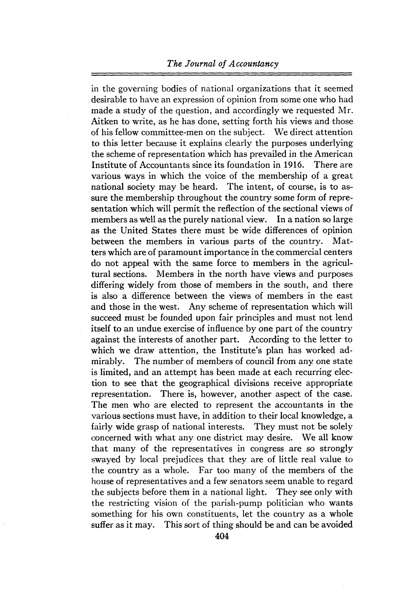# *The Journal of Accountancy*

in the governing bodies of national organizations that it seemed desirable to have an expression of opinion from some one who had made a study of the question, and accordingly we requested Mr. Aitken to write, as he has done, setting forth his views and those of his fellow committee-men on the subject. We direct attention to this letter because it explains clearly the purposes underlying the scheme of representation which has prevailed in the American Institute of Accountants since its foundation in 1916. There are various ways in which the voice of the membership of a great national society may be heard. The intent, of course, is to assure the membership throughout the country some form of representation which will permit the reflection of the sectional views of members as well as the purely national view. In a nation so large as the United States there must be wide differences of opinion<br>between the members in various parts of the country. Matbetween the members in various parts of the country. ters which are of paramount importance in the commercial centers do not appeal with the same force to members in the agricultural sections. Members in the north have views and purposes differing widely from those of members in the south, and there is also a difference between the views of members in the east and those in the west. Any scheme of representation which will succeed must be founded upon fair principles and must not lend itself to an undue exercise of influence by one part of the country against the interests of another part. According to the letter to which we draw attention, the Institute's plan has worked admirably. The number of members of council from any one state is limited, and an attempt has been made at each recurring election to see that the geographical divisions receive appropriate representation. There is, however, another aspect of the case. The men who are elected to represent the accountants in the various sections must have, in addition to their local knowledge, a fairly wide grasp of national interests. They must not be solely concerned with what any one district may desire. We all know that many of the representatives in congress are so strongly swayed by local prejudices that they are of little real value to the country as a whole. Far too many of the members of the house of representatives and a few senators seem unable to regard the subjects before them in a national light. They see only with the restricting vision of the parish-pump politician who wants something for his own constituents, let the country as a whole suffer as it may. This sort of thing should be and can be avoided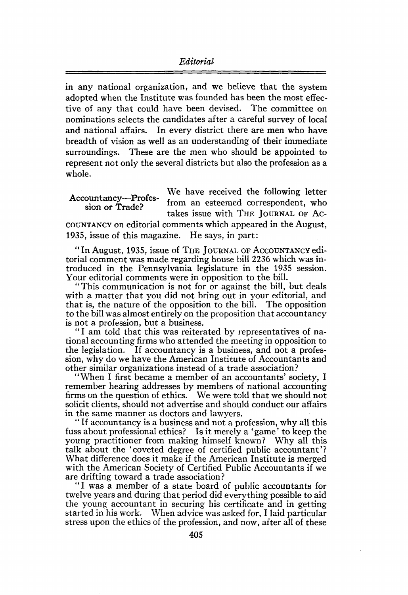in any national organization, and we believe that the system adopted when the Institute was founded has been the most effective of any that could have been devised. The committee on nominations selects the candidates after a careful survey of local and national affairs. In every district there are men who have breadth of vision as well as an understanding of their immediate surroundings. These are the men who should be appointed to represent not only the several districts but also the profession as a whole.

We have received the following letter from an esteemed correspondent, who takes issue with THE JOURNAL OF AC-Accountancy—Profession or Trade?

countancy on editorial comments which appeared in the August, 1935, issue of this magazine. He says, in part:

"In August, 1935, issue of The Journal of <sup>A</sup>ccountancy editorial comment was made regarding house bill 2236 which was introduced in the Pennsylvania legislature in the 1935 session. Your editorial comments were in opposition to the bill.

"This communication is not for or against the bill, but deals with a matter that you did not bring out in your editorial, and that is, the nature of the opposition to the bill. The opposition to the bill was almost entirely on the proposition that accountancy is not a profession, but a business.

"I am told that this was reiterated by representatives of national accounting firmswho attended the meeting in opposition to the legislation. If accountancy is a business, and not a profession, why do we have the American Institute of Accountants and other similar organizations instead of a trade association?

"When I first became a member of an accountants' society, I remember hearing addresses by members of national accounting firms on the question of ethics. We were told that we should not solicit clients, should not advertise and should conduct our affairs in the same manner as doctors and lawyers.

"If accountancy is a business and not a profession, why all this fuss about professional ethics? Is it merely a ' game ' to keep the young practitioner from making himself known? Why all this talk about the 'coveted degree of certified public accountant'? What difference does it make if the American Institute is merged with the American Society of Certified Public Accountants if we are drifting toward a trade association?

"<sup>I</sup> was a member of a state board of public accountants for twelve years and during that period did everything possible to aid the young accountant in securing his certificate and in getting started in his work. When advice was asked for, I laid particular stress upon the ethics of the profession, and now, after all of these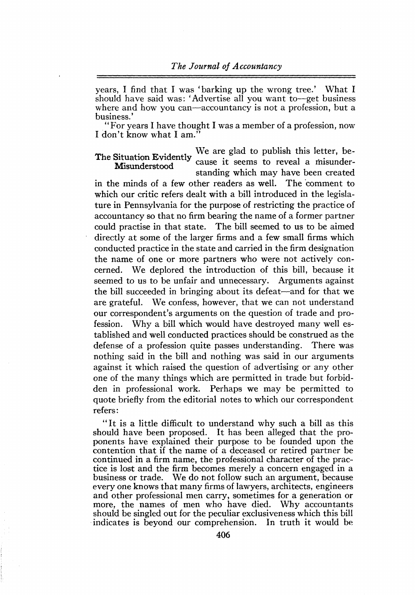years, I find that I was 'barking up the wrong tree.' What I should have said was: 'Advertise all you want to—get business where and how you can—accountancy is not a profession, but a business.'

"For years <sup>I</sup> have thought I was a member of a profession, now I don't know what I am.

We are glad to publish this letter, because it seems to reveal a misunderstanding which may have been created The Situation Evidently Misunderstood

in the minds of a few other readers as well. The comment to which our critic refers dealt with a bill introduced in the legislature in Pennsylvania for the purpose of restricting the practice of accountancy so that no firm bearing the name of a former partner could practise in that state. The bill seemed to us to be aimed directly at some of the larger firms and a few small firms which conducted practice in the state and carried in the firm designation the name of one or more partners who were not actively concerned. We deplored the introduction of this bill, because it seemed to us to be unfair and unnecessary. Arguments against the bill succeeded in bringing about its defeat—and for that we are grateful. We confess, however, that we can not understand our correspondent's arguments on the question of trade and profession. Why a bill which would have destroyed many well established and well conducted practices should be construed as the defense of a profession quite passes understanding. There was nothing said in the bill and nothing was said in our arguments against it which raised the question of advertising or any other one of the many things which are permitted in trade but forbidden in professional work. Perhaps we may be permitted to quote briefly from the editorial notes to which our correspondent refers:

"It is a little difficult to understand why such a bill as this should have been proposed. It has been alleged that the proponents have explained their purpose to be founded upon the contention that if the name of a deceased or retired partner be continued in a firm name, the professional character of the practice is lost and the firm becomes merely a concern engaged in a business or trade. We do not follow such an argument, because every one knows that many firms of lawyers, architects, engineers and other professional men carry, sometimes for a generation or more, the names of men who have died. Why accountants should be singled out for the peculiar exclusiveness which this bill indicates is beyond our comprehension. In truth it would be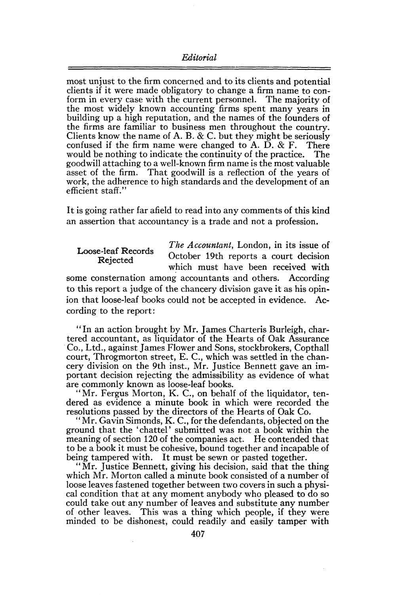#### *Editorial*

most unjust to the firm concerned and to its clients and potential clients if it were made obligatory to change a firm name to conform in every case with the current personnel. The majority of the most widely known accounting firms spent many years in building up a high reputation, and the names of the founders of the firms are familiar to business men throughout the country. Clients know the name of A. B. & C. but they might be seriously confused if the firm name were changed to A. D. & F. There confused if the firm name were changed to A. D.  $\&$  F. There would be nothing to indicate the continuity of the practice. The would be nothing to indicate the continuity of the practice. goodwill attaching to a well-known firm name is the most valuable asset of the firm. That goodwill is a reflection of the years of work, the adherence to high standards and the development of an efficient staff."

It is going rather far afield to read into any comments of this kind an assertion that accountancy is a trade and not a profession.

Loose-leaf Records Rejected *The Accountant,* London, in its issue of October 19th reports a court decision which must have been received with some consternation among accountants and others. According to this report a judge of the chancery division gave it as his opinion that loose-leaf books could not be accepted in evidence. According to the report:

"In an action brought by Mr. James Charteris Burleigh, chartered accountant, as liquidator of the Hearts of Oak Assurance Co., Ltd., against James Flower and Sons, stockbrokers, Copthall court, Throgmorton street, E. C., which was settled in the chancery division on the 9th inst., Mr. Justice Bennett gave an important decision rejecting the admissibility as evidence of what are commonly known as loose-leaf books.

"Mr. Fergus Morton, K. C., on behalf of the liquidator, tendered as evidence a minute book in which were recorded the resolutions passed by the directors of the Hearts of Oak Co.

"Mr. Gavin Simonds, K. C., for the defendants, objected on the ground that the 'chattel' submitted was not a book within the meaning of section 120 of the companies act. He contended that to be a book it must be cohesive, bound together and incapable of being tampered with. It must be sewn or pasted together.

"Mr. Justice Bennett, giving his decision, said that the thing which Mr. Morton called a minute book consisted of a number of loose leaves fastened together between two covers in such a physical condition that at any moment anybody who pleased to do so could take out any number of leaves and substitute any number of other leaves. This was a thing which people, if they were minded to be dishonest, could readily and easily tamper with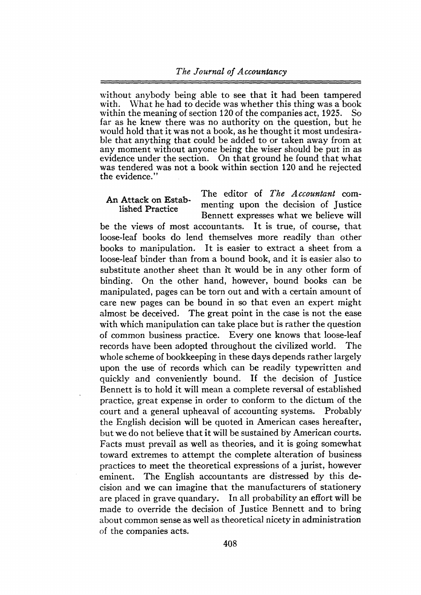## *The Journal of Accountancy*

without anybody being able to see that it had been tampered with. What he had to decide was whether this thing was a book within the meaning of section 120 of the companies act. 1925. So within the meaning of section 120 of the companies act, 1925. far as he knew there was no authority on the question, but he would hold that it was not a book, as he thought it most undesirable that anything that could be added to or taken away from at any moment without anyone being the wiser should be put in as evidence under the section. On that ground he found that what was tendered was not a book within section 120 and he rejected the evidence."

### An Attack on Established Practice

The editor of *The Accountant* commenting upon the decision of Justice Bennett expresses what we believe will

be the views of most accountants. It is true, of course, that loose-leaf books do lend themselves more readily than other books to manipulation. It is easier to extract a sheet from a loose-leaf binder than from a bound book, and it is easier also to substitute another sheet than it would be in any other form of binding. On the other hand, however, bound books can be manipulated, pages can be torn out and with a certain amount of care new pages can be bound in so that even an expert might almost be deceived. The great point in the case is not the ease with which manipulation can take place but is rather the question of common business practice. Every one knows that loose-leaf records have been adopted throughout the civilized world. The whole scheme of bookkeeping in these days depends rather largely upon the use of records which can be readily typewritten and quickly and conveniently bound. If the decision of Justice Bennett is to hold it will mean a complete reversal of established practice, great expense in order to conform to the dictum of the court and a general upheaval of accounting systems. Probably the English decision will be quoted in American cases hereafter, but we do not believe that it will be sustained by American courts. Facts must prevail as well as theories, and it is going somewhat toward extremes to attempt the complete alteration of business practices to meet the theoretical expressions of a jurist, however eminent. The English accountants are distressed by this decision and we can imagine that the manufacturers of stationery are placed in grave quandary. In all probability an effort will be made to override the decision of Justice Bennett and to bring about common sense as well as theoretical nicety in administration of the companies acts.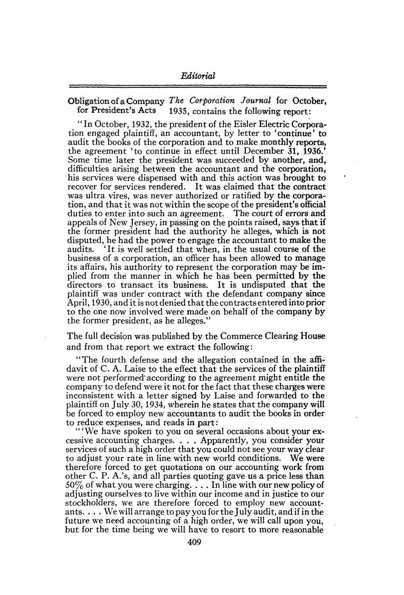Obligation ofaCompany *The Corporation Journal* for October, 1935, contains the following report:

" In October, 1932, the president of the Eisler Electric Corporation engaged plaintiff, an accountant, by letter to 'continue' to audit the books of the corporation and to make monthly reports, the agreement 'to continue in effect until December 31, 1936. Some time later the president was succeeded by another, and, difficulties arising between the accountant and the corporation, his services were dispensed with and this action was brought to recover for services rendered. It was claimed that the contract was ultra vires, was never authorized or ratified by the corporation, and that it was not within the scope of the president's official duties to enter into such an agreement. The court of errors and appeals of New Jersey, in passing on the points raised, says that if the former president had the authority he alleges, which is not disputed, he had the power to engage the accountant to make the audits. 'It is well settled that when, in the usual course of the 'It is well settled that when, in the usual course of the business of a corporation, an officer has been allowed to manage its affairs, his authority to represent the corporation may be implied from the manner in which he has been permitted by the directors to transact its business. It is undisputed that the plaintiff was under contract with the defendant company since April, 1930, and it is not denied that the contracts entered into prior to the one now involved were made on behalf of the company by the former president, as he alleges."

The full decision was published by the Commerce Clearing House and from that report we extract the following:

"The fourth defense and the allegation contained in the affidavit of C. A. Laise to the effect that the services of the plaintiff were not performed according to the agreement might entitle the company to defend were it not for the fact that these charges were inconsistent with a letter signed by Laise and forwarded to the plaintiff on July 30, 1934, wherein he states that the company will be forced to employ new accountants to audit the books in order to reduce expenses, and reads in part:

"'We have spoken to you on several occasions about your excessive accounting charges. . . . Apparently, you consider your services of such a high order that you could not see your way clear to adjust your rate in line with new world conditions. We were therefore forced to get quotations on our accounting work from other C. P. A.'s, and all parties quoting gave us a price less than  $50\%$  of what you were charging.  $\ldots$  In line with our new policy of adjusting ourselves to live within our income and in justice to our stockholders, we are therefore forced to employ new accountants. ... We will arrange to pay you forthe July audit, and if in the future we need accounting of a high order, we will call upon you, but for the time being we will have to resort to more reasonable